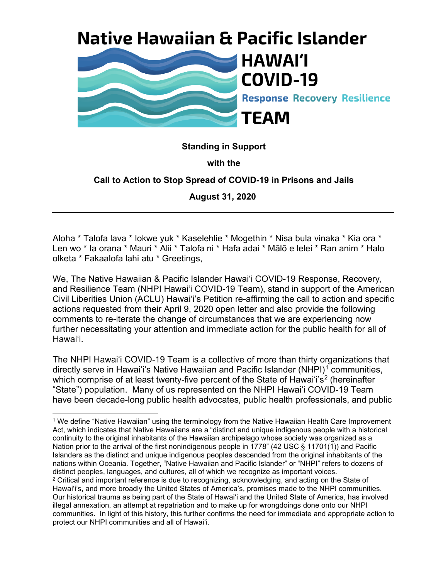# **Native Hawaiian & Pacific Islander**



### **Standing in Support**

#### **with the**

### **Call to Action to Stop Spread of COVID-19 in Prisons and Jails**

**August 31, 2020**

Aloha \* Talofa lava \* Iokwe yuk \* Kaselehlie \* Mogethin \* Nisa bula vinaka \* Kia ora \* Len wo \* Ia orana \* Mauri \* Alii \* Talofa ni \* Hafa adai \* Mālō e lelei \* Ran anim \* Halo olketa \* Fakaalofa lahi atu \* Greetings,

We, The Native Hawaiian & Pacific Islander Hawai'i COVID-19 Response, Recovery, and Resilience Team (NHPI Hawaiʻi COVID-19 Team), stand in support of the American Civil Liberities Union (ACLU) Hawaiʻi's Petition re-affirming the call to action and specific actions requested from their April 9, 2020 open letter and also provide the following comments to re-iterate the change of circumstances that we are experiencing now further necessitating your attention and immediate action for the public health for all of Hawaiʻi.

The NHPI Hawaiʻi COVID-19 Team is a collective of more than thirty organizations that directly serve in Hawai'i's Native Hawaiian and Pacific Islander (NHPI)<sup>[1](#page-0-0)</sup> communities, which comprise of at least twenty-five percent of the State of Hawai'i's<sup>[2](#page-0-1)</sup> (hereinafter "State") population. Many of us represented on the NHPI Hawaiʻi COVID-19 Team have been decade-long public health advocates, public health professionals, and public

<span id="page-0-1"></span><span id="page-0-0"></span><sup>1</sup> We define "Native Hawaiian" using the terminology from the Native Hawaiian Health Care Improvement Act, which indicates that Native Hawaiians are a "distinct and unique indigenous people with a historical continuity to the original inhabitants of the Hawaiian archipelago whose society was organized as a Nation prior to the arrival of the first nonindigenous people in 1778" (42 USC § 11701(1)) and Pacific Islanders as the distinct and unique indigenous peoples descended from the original inhabitants of the nations within Oceania. Together, "Native Hawaiian and Pacific Islander" or "NHPI" refers to dozens of distinct peoples, languages, and cultures, all of which we recognize as important voices.  $2$  Critical and important reference is due to recognizing, acknowledging, and acting on the State of Hawaiʻi's, and more broadly the United States of America's, promises made to the NHPI communities. Our historical trauma as being part of the State of Hawaiʻi and the United State of America, has involved illegal annexation, an attempt at repatriation and to make up for wrongdoings done onto our NHPI communities. In light of this history, this further confirms the need for immediate and appropriate action to protect our NHPI communities and all of Hawaiʻi.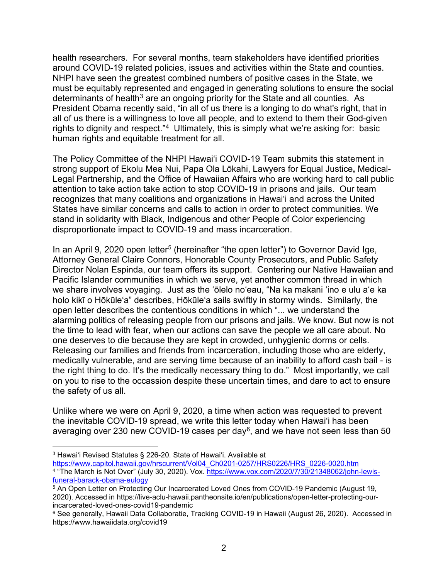health researchers. For several months, team stakeholders have identified priorities around COVID-19 related policies, issues and activities within the State and counties. NHPI have seen the greatest combined numbers of positive cases in the State, we must be equitably represented and engaged in generating solutions to ensure the social determinants of health<sup>[3](#page-1-0)</sup> are an ongoing priority for the State and all counties. As President Obama recently said, "in all of us there is a longing to do what's right, that in all of us there is a willingness to love all people, and to extend to them their God-given rights to dignity and respect."[4](#page-1-1) Ultimately, this is simply what we're asking for: basic human rights and equitable treatment for all.

The Policy Committee of the NHPI Hawaiʻi COVID-19 Team submits this statement in strong support of Ekolu Mea Nui, Papa Ola Lōkahi, Lawyers for Equal Justice**,** Medical-Legal Partnership**,** and the Office of Hawaiian Affairs who are working hard to call public attention to take action take action to stop COVID-19 in prisons and jails. Our team recognizes that many coalitions and organizations in Hawai'i and across the United States have similar concerns and calls to action in order to protect communities. We stand in solidarity with Black, Indigenous and other People of Color experiencing disproportionate impact to COVID-19 and mass incarceration.

In an April 9, 2020 open letter<sup>[5](#page-1-2)</sup> (hereinafter "the open letter") to Governor David Ige, Attorney General Claire Connors, Honorable County Prosecutors, and Public Safety Director Nolan Espinda, our team offers its support. Centering our Native Hawaiian and Pacific Islander communities in which we serve, yet another common thread in which we share involves voyaging. Just as the ʻōlelo noʻeau, "Na ka makani ʻino e ulu aʻe ka holo kikī o Hōkūleʻa" describes, Hōkūleʻa sails swiftly in stormy winds. Similarly, the open letter describes the contentious conditions in which "... we understand the alarming politics of releasing people from our prisons and jails. We know. But now is not the time to lead with fear, when our actions can save the people we all care about. No one deserves to die because they are kept in crowded, unhygienic dorms or cells. Releasing our families and friends from incarceration, including those who are elderly, medically vulnerable, and are serving time because of an inability to afford cash bail - is the right thing to do. It's the medically necessary thing to do." Most importantly, we call on you to rise to the occassion despite these uncertain times, and dare to act to ensure the safety of us all.

Unlike where we were on April 9, 2020, a time when action was requested to prevent the inevitable COVID-19 spread, we write this letter today when Hawaiʻi has been averaging over 230 new COVID-19 cases per day<sup>6</sup>, and we have not seen less than 50

<span id="page-1-0"></span><sup>&</sup>lt;sup>3</sup> Hawai'i Revised Statutes § 226-20. State of Hawai'i. Available at <br>https://www.capitol.hawaii.gov/hrscurrent/Vol04 Ch0201-0257/HRS0226/HRS 0226-0020.htm <sup>4</sup>"The March is Not Over" (July 30, 2020). Vox. [https://www.vox.com/2020/7/30/21348062/john](https://www.vox.com/2020/7/30/21348062/john-lewis-funeral-barack-obama-eulogy)-lewis[funeral-barack-obama-eulogy](https://www.vox.com/2020/7/30/21348062/john-lewis-funeral-barack-obama-eulogy)

<span id="page-1-2"></span><span id="page-1-1"></span><sup>5</sup> An Open Letter on Protecting Our Incarcerated Loved Ones from COVID-19 Pandemic (August 19, 2020). Accessed in https://live-aclu-hawaii.pantheonsite.io/en/publications/open-letter-protecting-ourincarcerated-loved-ones-covid19-pandemic

<span id="page-1-3"></span><sup>6</sup> See generally, Hawaii Data Collaboratie, Tracking COVID-19 in Hawaii (August 26, 2020). Accessed in https://www.hawaiidata.org/covid19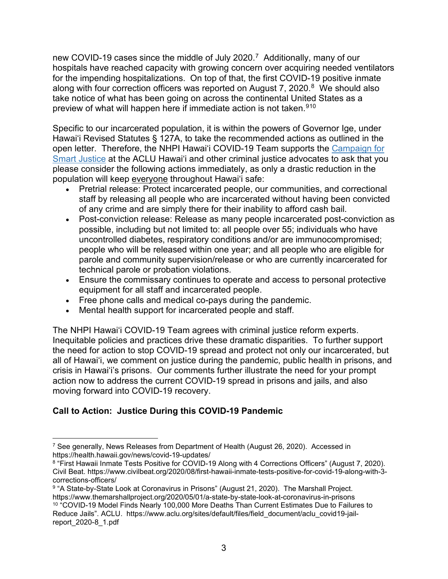new COVID-19 cases since the middle of July 2020.[7](#page-2-0) Additionally, many of our hospitals have reached capacity with growing concern over acquiring needed ventilators for the impending hospitalizations. On top of that, the first COVID-19 positive inmate along with four correction officers was reported on August 7, 2020. $8$  We should also take notice of what has been going on across the continental United States as a preview of what will happen here if immediate action is not taken.<sup>[9](#page-2-2)[10](#page-2-3)</sup>

Specific to our incarcerated population, it is within the powers of Governor Ige, under Hawaiʻi Revised Statutes § 127A, to take the recommended actions as outlined in the open letter. Therefore, the NHPI Hawai'i COVID-19 Team supports the [Campaign for](https://www.aclu.org/issues/smart-justice#:%7E:text=The%20ACLU%20Campaign%20for%20Smart%20Justice%20is%20an,combat%20racial%20disparities%20in%20the%20criminal%20justice%20system.)  [Smart Justice](https://www.aclu.org/issues/smart-justice#:%7E:text=The%20ACLU%20Campaign%20for%20Smart%20Justice%20is%20an,combat%20racial%20disparities%20in%20the%20criminal%20justice%20system.) at the ACLU Hawai'i and other criminal justice advocates to ask that you please consider the following actions immediately, as only a drastic reduction in the population will keep everyone throughout Hawai'i safe:

- Pretrial release: Protect incarcerated people, our communities, and correctional staff by releasing all people who are incarcerated without having been convicted of any crime and are simply there for their inability to afford cash bail.
- Post-conviction release: Release as many people incarcerated post-conviction as possible, including but not limited to: all people over 55; individuals who have uncontrolled diabetes, respiratory conditions and/or are immunocompromised; people who will be released within one year; and all people who are eligible for parole and community supervision/release or who are currently incarcerated for technical parole or probation violations.
- Ensure the commissary continues to operate and access to personal protective equipment for all staff and incarcerated people.
- Free phone calls and medical co-pays during the pandemic.
- Mental health support for incarcerated people and staff.

The NHPI Hawaiʻi COVID-19 Team agrees with criminal justice reform experts. Inequitable policies and practices drive these dramatic disparities. To further support the need for action to stop COVID-19 spread and protect not only our incarcerated, but all of Hawaiʻi, we comment on justice during the pandemic, public health in prisons, and crisis in Hawaiʻi's prisons. Our comments further illustrate the need for your prompt action now to address the current COVID-19 spread in prisons and jails, and also moving forward into COVID-19 recovery.

## **Call to Action: Justice During this COVID-19 Pandemic**

<span id="page-2-0"></span><sup>&</sup>lt;sup>7</sup> See generally, News Releases from Department of Health (August 26, 2020). Accessed in https://health.hawaii.gov/news/covid-19-updates/

<span id="page-2-1"></span><sup>8</sup> "First Hawaii Inmate Tests Positive for COVID-19 Along with 4 Corrections Officers" (August 7, 2020). Civil Beat. https://www.civilbeat.org/2020/08/first-hawaii-inmate-tests-positive-for-covid-19-along-with-3 corrections-officers/

<span id="page-2-2"></span><sup>9 &</sup>quot;A State-by-State Look at Coronavirus in Prisons" (August 21, 2020). The Marshall Project. https://www.themarshallproject.org/2020/05/01/a-state-by-state-look-at-coronavirus-in-prisons

<span id="page-2-3"></span><sup>10</sup> "COVID-19 Model Finds Nearly 100,000 More Deaths Than Current Estimates Due to Failures to Reduce Jails". ACLU. https://www.aclu.org/sites/default/files/field\_document/aclu\_covid19-jailreport\_2020-8\_1.pdf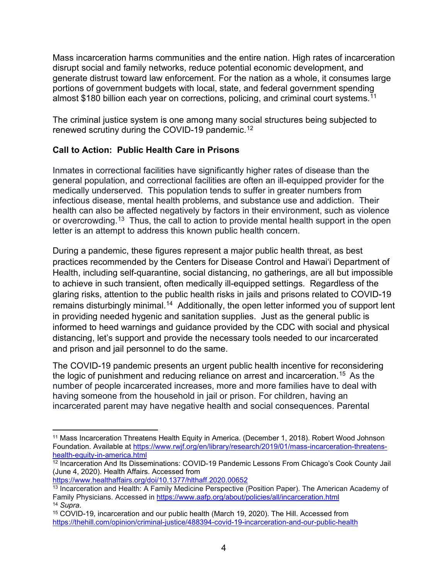Mass incarceration harms communities and the entire nation. High rates of incarceration disrupt social and family networks, reduce potential economic development, and generate distrust toward law enforcement. For the nation as a whole, it consumes large portions of government budgets with local, state, and federal government spending almost \$180 billion each year on corrections, policing, and criminal court systems.<sup>[11](#page-3-0)</sup>

The criminal justice system is one among many social structures being subjected to renewed scrutiny during the COVID-19 pandemic.[12](#page-3-1)

## **Call to Action: Public Health Care in Prisons**

Inmates in correctional facilities have significantly higher rates of disease than the general population, and correctional facilities are often an ill-equipped provider for the medically underserved. This population tends to suffer in greater numbers from infectious disease, mental health problems, and substance use and addiction. Their health can also be affected negatively by factors in their environment, such as violence or overcrowding.<sup>[13](#page-3-2)</sup> Thus, the call to action to provide mental health support in the open letter is an attempt to address this known public health concern.

During a [pandemic,](https://www.npr.org/sections/goatsandsoda/2020/03/11/814474930/coronavirus-covid-19-is-now-officially-a-pandemic-who-says) these figures represent a major public health threat, as best practices [recommended by the Centers for Disease Control](https://www.cdc.gov/coronavirus/2019-ncov/about/prevention.html?CDC_AA_refVal=https%3A%2F%2Fwww.cdc.gov%2Fcoronavirus%2F2019-ncov%2Fabout%2Fprevention-treatment.html) and Hawai'i Department of Health, including self-quarantine, social distancing, no gatherings, are all but impossible to achieve in such transient, often medically ill-equipped settings. Regardless of the glaring risks, attention to the public health risks in jails and prisons related to COVID-19 remains disturbingly minimal.<sup>[14](#page-3-3)</sup> Additionally, the open letter informed you of support lent in providing needed hygenic and sanitation supplies. Just as the general public is informed to heed warnings and guidance provided by the CDC with social and physical distancing, let's support and provide the necessary tools needed to our incarcerated and prison and jail personnel to do the same.

The COVID-19 pandemic presents an urgent public health incentive for reconsidering the logic of punishment and reducing reliance on arrest and incarceration.<sup>[15](#page-3-4)</sup> As the number of people incarcerated increases, more and more families have to deal with having someone from the household in jail or prison. For children, having an incarcerated parent may have negative health and social consequences. Parental

<span id="page-3-0"></span><sup>11</sup> Mass Incarceration Threatens Health Equity in America. (December 1, 2018). Robert Wood Johnson Foundation. Available at [https://www.rwjf.org/en/library/research/2019/01/mass](https://www.rwjf.org/en/library/research/2019/01/mass-incarceration-threatens-health-equity-in-america.html)-incarceration-threatens[health-equity-in-](https://www.rwjf.org/en/library/research/2019/01/mass-incarceration-threatens-health-equity-in-america.html)america.html

<span id="page-3-1"></span><sup>&</sup>lt;sup>12</sup> Incarceration And Its Disseminations: COVID-19 Pandemic Lessons From Chicago's Cook County Jail (June 4, 2020). Health Affairs. Accessed from

<https://www.healthaffairs.org/doi/10.1377/hlthaff.2020.00652>

<span id="page-3-2"></span><sup>13</sup> Incarceration and Health: A Family Medicine Perspective (Position Paper). The American Academy of Family Physicians. Accessed in <https://www.aafp.org/about/policies/all/incarceration.html> <sup>14</sup> *Supra*.

<span id="page-3-4"></span><span id="page-3-3"></span><sup>&</sup>lt;sup>15</sup> COVID-19, incarceration and our public health (March 19, 2020). The Hill. Accessed from https://thehill.com/opinion/criminal-justice/488394[-covid-19-incarceration-and-our-public-health](https://thehill.com/opinion/criminal-justice/488394-covid-19-incarceration-and-our-public-health)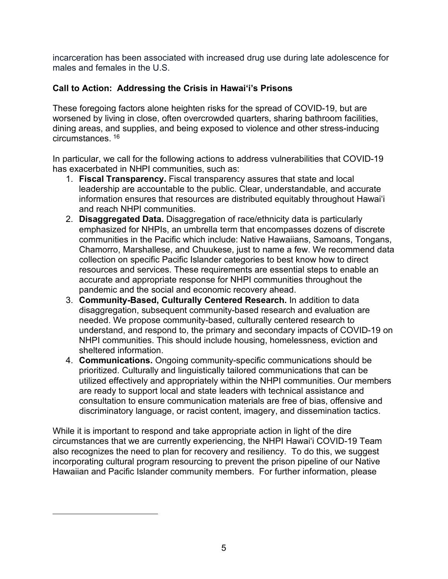incarceration has been associated with increased drug use during late adolescence for males and females in the U.S.

## **Call to Action: Addressing the Crisis in Hawai'i's Prisons**

These foregoing factors alone heighten risks for the spread of COVID-19, but are worsened by living in close, often overcrowded quarters, sharing bathroom facilities, dining areas, and supplies, and being exposed to violence and other stress-inducing circumstances. [16](#page-4-0)

In particular, we call for the following actions to address vulnerabilities that COVID-19 has exacerbated in NHPI communities, such as:

- 1. **Fiscal Transparency.** Fiscal transparency assures that state and local leadership are accountable to the public. Clear, understandable, and accurate information ensures that resources are distributed equitably throughout Hawai'i and reach NHPI communities.
- 2. **Disaggregated Data.** Disaggregation of race/ethnicity data is particularly emphasized for NHPIs, an umbrella term that encompasses dozens of discrete communities in the Pacific which include: Native Hawaiians, Samoans, Tongans, Chamorro, Marshallese, and Chuukese, just to name a few. We recommend data collection on specific Pacific Islander categories to best know how to direct resources and services. These requirements are essential steps to enable an accurate and appropriate response for NHPI communities throughout the pandemic and the social and economic recovery ahead.
- 3. **Community-Based, Culturally Centered Research.** In addition to data disaggregation, subsequent community-based research and evaluation are needed. We propose community-based, culturally centered research to understand, and respond to, the primary and secondary impacts of COVID-19 on NHPI communities. This should include housing, homelessness, eviction and sheltered information.
- 4. **Communications.** Ongoing community-specific communications should be prioritized. Culturally and linguistically tailored communications that can be utilized effectively and appropriately within the NHPI communities. Our members are ready to support local and state leaders with technical assistance and consultation to ensure communication materials are free of bias, offensive and discriminatory language, or racist content, imagery, and dissemination tactics.

<span id="page-4-0"></span>While it is important to respond and take appropriate action in light of the dire circumstances that we are currently experiencing, the NHPI Hawaiʻi COVID-19 Team also recognizes the need to plan for recovery and resiliency. To do this, we suggest incorporating cultural program resourcing to prevent the prison pipeline of our Native Hawaiian and Pacific Islander community members. For further information, please